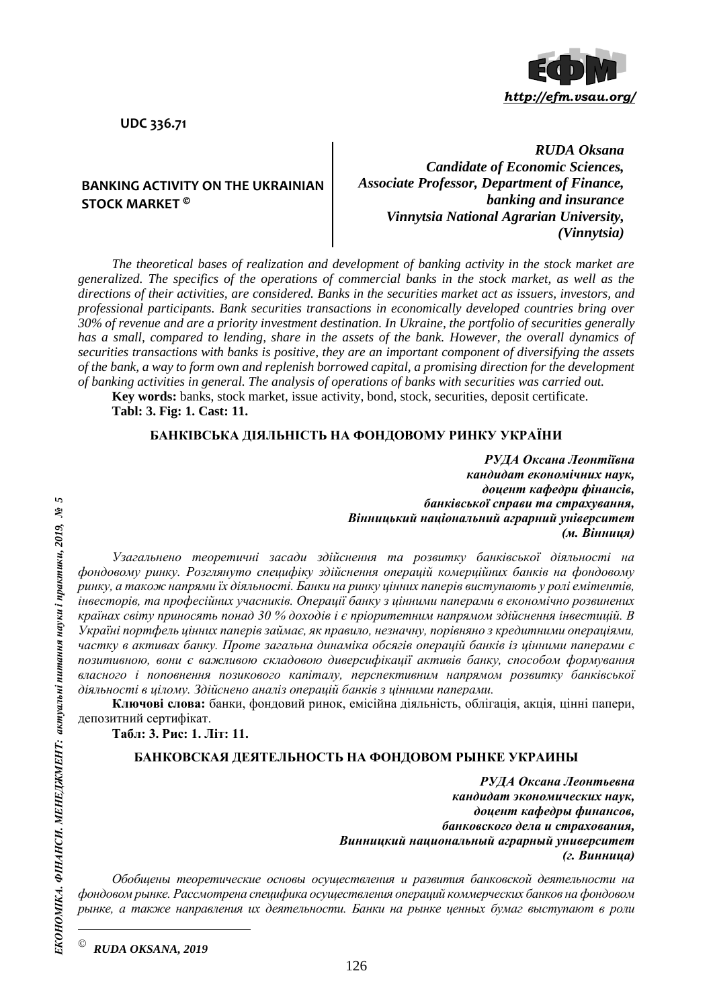

**UDC 336.71**

# **BANKING ACTIVITY ON THE UKRAINIAN STOCK MARKET**

*RUDA Oksana Candidate of Economic Sciences, Associate Professor, Department of Finance, banking and insurance Vinnytsia National Agrarian University, (Vinnytsia)*

*The theoretical bases of realization and development of banking activity in the stock market are generalized. The specifics of the operations of commercial banks in the stock market, as well as the directions of their activities, are considered. Banks in the securities market act as issuers, investors, and professional participants. Bank securities transactions in economically developed countries bring over 30% of revenue and are a priority investment destination. In Ukraine, the portfolio of securities generally has a small, compared to lending, share in the assets of the bank. However, the overall dynamics of securities transactions with banks is positive, they are an important component of diversifying the assets of the bank, a way to form own and replenish borrowed capital, a promising direction for the development of banking activities in general. The analysis of operations of banks with securities was carried out.*

**Key words:** banks, stock market, issue activity, bond, stock, securities, deposit certificate. **Tabl: 3. Fig: 1. Cast: 11.**

#### **БАНКІВСЬКА ДІЯЛЬНІСТЬ НА ФОНДОВОМУ РИНКУ УКРАЇНИ**

*РУДА Оксана Леонтіївна кандидат економічних наук, доцент кафедри фінансів, банківської справи та страхування, Вінницький національний аграрний університет (м. Вінниця)*

*Узагальнено теоретичні засади здійснення та розвитку банківської діяльності на фондовому ринку. Розглянуто специфіку здійснення операцій комерційних банків на фондовому ринку, а також напрями їх діяльності. Банки на ринку цінних паперів виступають у ролі емітентів, інвесторів, та професійних учасників. Операції банку з цінними паперами в економічно розвинених країнах світу приносять понад 30 % доходів і є пріоритетним напрямом здійснення інвестицій. В Україні портфель цінних паперів займає, як правило, незначну, порівняно з кредитними операціями, частку в активах банку. Проте загальна динаміка обсягів операцій банків із цінними паперами є позитивною, вони є важливою складовою диверсифікації активів банку, способом формування власного і поповнення позикового капіталу, перспективним напрямом розвитку банківської діяльності в цілому. Здійснено аналіз операцій банків з цінними паперами.*

**Ключові слова:** банки, фондовий ринок, емісійна діяльність, облігація, акція, цінні папери, депозитний сертифікат.

**Табл: 3. Рис: 1. Літ: 11.**

#### **БАНКОВСКАЯ ДЕЯТЕЛЬНОСТЬ НА ФОНДОВОМ РЫНКЕ УКРАИНЫ**

*РУДА Оксана Леонтьевна кандидат экономических наук, доцент кафедры финансов, банковского дела и страхования, Винницкий национальный аграрный университет (г. Винница)*

*Обобщены теоретические основы осуществления и развития банковской деятельности на фондовом рынке. Рассмотрена специфика осуществления операций коммерческих банков на фондовом рынке, а также направления их деятельности. Банки на рынке ценных бумаг выступают в роли* 

 $\overline{a}$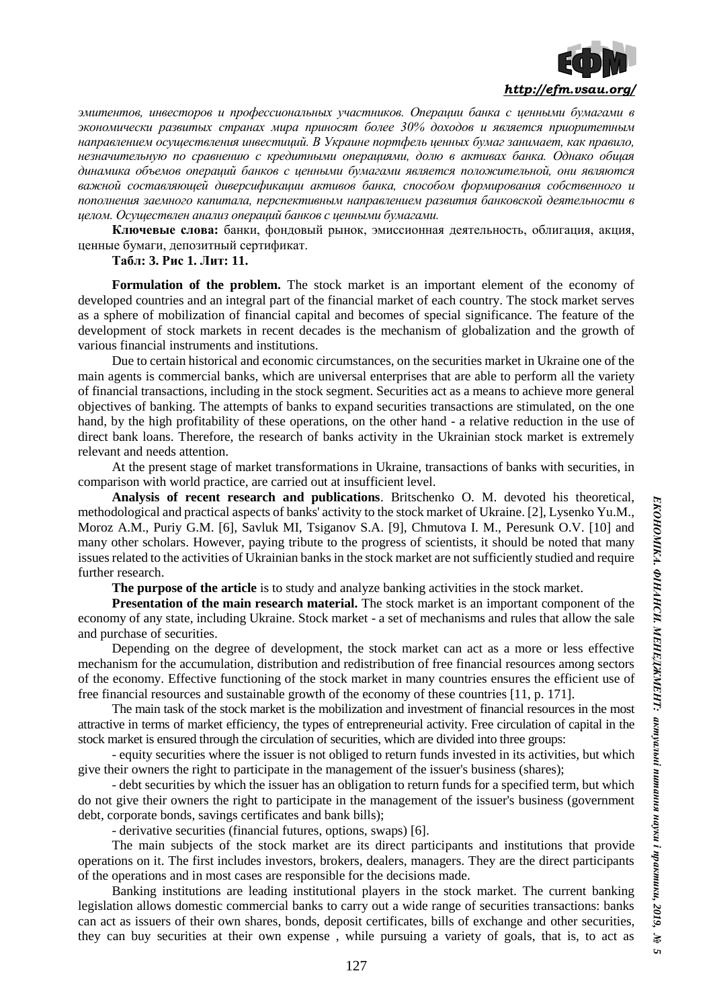

*эмитентов, инвесторов и профессиональных участников. Операции банка с ценными бумагами в экономически развитых странах мира приносят более 30% доходов и является приоритетным направлением осуществления инвестиций. В Украине портфель ценных бумаг занимает, как правило, незначительную по сравнению с кредитными операциями, долю в активах банка. Однако общая динамика объемов операций банков с ценными бумагами является положительной, они являются важной составляющей диверсификации активов банка, способом формирования собственного и пополнения заемного капитала, перспективным направлением развития банковской деятельности в целом. Осуществлен анализ операций банков с ценными бумагами.*

**Ключевые слова:** банки, фондовый рынок, эмиссионная деятельность, облигация, акция, ценные бумаги, депозитный сертификат.

# **Табл: 3. Рис 1. Лит: 11.**

**Formulation of the problem.** The stock market is an important element of the economy of developed countries and an integral part of the financial market of each country. The stock market serves as a sphere of mobilization of financial capital and becomes of special significance. The feature of the development of stock markets in recent decades is the mechanism of globalization and the growth of various financial instruments and institutions.

Due to certain historical and economic circumstances, on the securities market in Ukraine one of the main agents is commercial banks, which are universal enterprises that are able to perform all the variety of financial transactions, including in the stock segment. Securities act as a means to achieve more general objectives of banking. The attempts of banks to expand securities transactions are stimulated, on the one hand, by the high profitability of these operations, on the other hand - a relative reduction in the use of direct bank loans. Therefore, the research of banks activity in the Ukrainian stock market is extremely relevant and needs attention.

At the present stage of market transformations in Ukraine, transactions of banks with securities, in comparison with world practice, are carried out at insufficient level.

**Analysis of recent research and publications**. Britschenko O. M. devoted his theoretical, methodological and practical aspects of banks' activity to the stock market of Ukraine. [2], Lysenko Yu.M., Moroz A.M., Puriy G.M. [6], Savluk MI, Tsiganov S.A. [9], Chmutova I. M., Peresunk O.V. [10] and many other scholars. However, paying tribute to the progress of scientists, it should be noted that many issues related to the activities of Ukrainian banks in the stock market are not sufficiently studied and require further research.

**The purpose of the article** is to study and analyze banking activities in the stock market.

**Presentation of the main research material.** The stock market is an important component of the economy of any state, including Ukraine. Stock market - a set of mechanisms and rules that allow the sale and purchase of securities.

Depending on the degree of development, the stock market can act as a more or less effective mechanism for the accumulation, distribution and redistribution of free financial resources among sectors of the economy. Effective functioning of the stock market in many countries ensures the efficient use of free financial resources and sustainable growth of the economy of these countries [11, p. 171].

The main task of the stock market is the mobilization and investment of financial resources in the most attractive in terms of market efficiency, the types of entrepreneurial activity. Free circulation of capital in the stock market is ensured through the circulation of securities, which are divided into three groups:

- equity securities where the issuer is not obliged to return funds invested in its activities, but which give their owners the right to participate in the management of the issuer's business (shares);

- debt securities by which the issuer has an obligation to return funds for a specified term, but which do not give their owners the right to participate in the management of the issuer's business (government debt, corporate bonds, savings certificates and bank bills);

- derivative securities (financial futures, options, swaps) [6].

The main subjects of the stock market are its direct participants and institutions that provide operations on it. The first includes investors, brokers, dealers, managers. They are the direct participants of the operations and in most cases are responsible for the decisions made.

Banking institutions are leading institutional players in the stock market. The current banking legislation allows domestic commercial banks to carry out a wide range of securities transactions: banks can act as issuers of their own shares, bonds, deposit certificates, bills of exchange and other securities, they can buy securities at their own expense , while pursuing a variety of goals, that is, to act as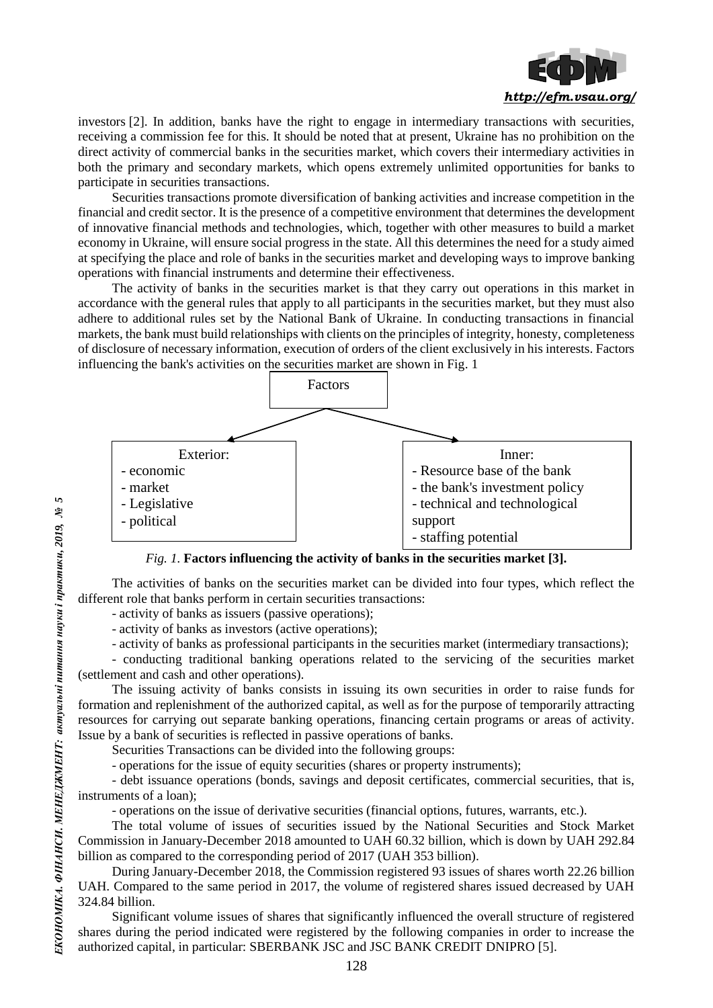

investors [2]. In addition, banks have the right to engage in intermediary transactions with securities, receiving a commission fee for this. It should be noted that at present, Ukraine has no prohibition on the direct activity of commercial banks in the securities market, which covers their intermediary activities in both the primary and secondary markets, which opens extremely unlimited opportunities for banks to participate in securities transactions.

Securities transactions promote diversification of banking activities and increase competition in the financial and credit sector. It is the presence of a competitive environment that determines the development of innovative financial methods and technologies, which, together with other measures to build a market economy in Ukraine, will ensure social progress in the state. All this determines the need for a study aimed at specifying the place and role of banks in the securities market and developing ways to improve banking operations with financial instruments and determine their effectiveness.

The activity of banks in the securities market is that they carry out operations in this market in accordance with the general rules that apply to all participants in the securities market, but they must also adhere to additional rules set by the National Bank of Ukraine. In conducting transactions in financial markets, the bank must build relationships with clients on the principles of integrity, honesty, completeness of disclosure of necessary information, execution of orders of the client exclusively in his interests. Factors influencing the bank's activities on the securities market are shown in Fig. 1



*Fig. 1.* **Factors influencing the activity of banks in the securities market [3].**

The activities of banks on the securities market can be divided into four types, which reflect the different role that banks perform in certain securities transactions:

- activity of banks as issuers (passive operations);

- activity of banks as investors (active operations);

- activity of banks as professional participants in the securities market (intermediary transactions);

- conducting traditional banking operations related to the servicing of the securities market (settlement and cash and other operations).

The issuing activity of banks consists in issuing its own securities in order to raise funds for formation and replenishment of the authorized capital, as well as for the purpose of temporarily attracting resources for carrying out separate banking operations, financing certain programs or areas of activity. Issue by a bank of securities is reflected in passive operations of banks.

Securities Transactions can be divided into the following groups:

- operations for the issue of equity securities (shares or property instruments);

- debt issuance operations (bonds, savings and deposit certificates, commercial securities, that is, instruments of a loan);

- operations on the issue of derivative securities (financial options, futures, warrants, etc.).

The total volume of issues of securities issued by the National Securities and Stock Market Commission in January-December 2018 amounted to UAH 60.32 billion, which is down by UAH 292.84 billion as compared to the corresponding period of 2017 (UAH 353 billion).

During January-December 2018, the Commission registered 93 issues of shares worth 22.26 billion UAH. Compared to the same period in 2017, the volume of registered shares issued decreased by UAH 324.84 billion.

Significant volume issues of shares that significantly influenced the overall structure of registered shares during the period indicated were registered by the following companies in order to increase the authorized capital, in particular: SBERBANK JSC and JSC BANK CREDIT DNIPRO [5].

 $\overline{5}$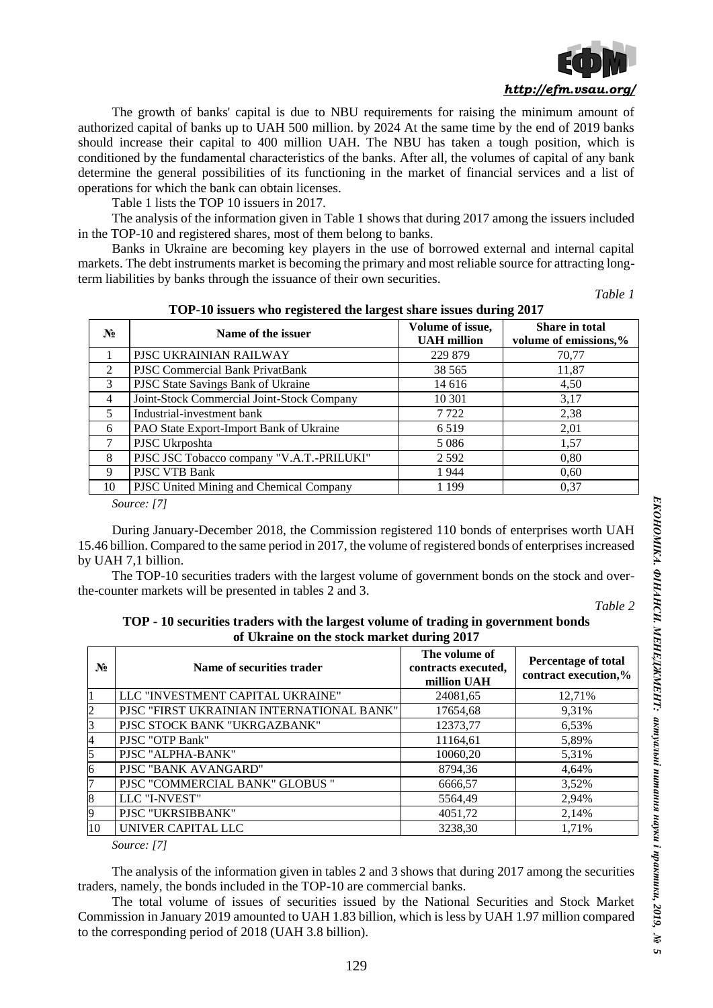

The growth of banks' capital is due to NBU requirements for raising the minimum amount of authorized capital of banks up to UAH 500 million. by 2024 At the same time by the end of 2019 banks should increase their capital to 400 million UAH. The NBU has taken a tough position, which is conditioned by the fundamental characteristics of the banks. After all, the volumes of capital of any bank determine the general possibilities of its functioning in the market of financial services and a list of operations for which the bank can obtain licenses.

Table 1 lists the TOP 10 issuers in 2017.

The analysis of the information given in Table 1 shows that during 2017 among the issuers included in the TOP-10 and registered shares, most of them belong to banks.

Banks in Ukraine are becoming key players in the use of borrowed external and internal capital markets. The debt instruments market is becoming the primary and most reliable source for attracting longterm liabilities by banks through the issuance of their own securities.

*Table 1*

| $N_2$          | Name of the issuer                         | Volume of issue,<br><b>UAH</b> million | Share in total<br>volume of emissions,% |
|----------------|--------------------------------------------|----------------------------------------|-----------------------------------------|
|                | PJSC UKRAINIAN RAILWAY                     | 229 879                                | 70,77                                   |
| 2              | <b>PJSC Commercial Bank PrivatBank</b>     | 38 5 65                                | 11,87                                   |
| 3              | PJSC State Savings Bank of Ukraine         | 14 616                                 | 4,50                                    |
| $\overline{4}$ | Joint-Stock Commercial Joint-Stock Company | 10 301                                 | 3,17                                    |
| 5              | Industrial-investment bank                 | 7 7 2 2                                | 2,38                                    |
| 6              | PAO State Export-Import Bank of Ukraine    | 6 5 1 9                                | 2,01                                    |
| 7              | PJSC Ukrposhta                             | 5 0 8 6                                | 1,57                                    |
| 8              | PJSC JSC Tobacco company "V.A.T.-PRILUKI"  | 2 5 9 2                                | 0.80                                    |
| 9              | PJSC VTB Bank                              | 1944                                   | 0.60                                    |
| 10             | PJSC United Mining and Chemical Company    | 1 199                                  | 0.37                                    |

**TOP-10 issuers who registered the largest share issues during 2017**

*Source: [7]*

During January-December 2018, the Commission registered 110 bonds of enterprises worth UAH 15.46 billion. Compared to the same period in 2017, the volume of registered bonds of enterprises increased by UAH 7,1 billion.

The TOP-10 securities traders with the largest volume of government bonds on the stock and overthe-counter markets will be presented in tables 2 and 3.

*Table 2*

# **TOP - 10 securities traders with the largest volume of trading in government bonds of Ukraine on the stock market during 2017**

| $\overline{\phantom{a}}$         |                                                     |                                             |  |
|----------------------------------|-----------------------------------------------------|---------------------------------------------|--|
| Name of securities trader        | The volume of<br>contracts executed,<br>million UAH | Percentage of total<br>contract execution,% |  |
| LLC "INVESTMENT CAPITAL UKRAINE" | 24081,65                                            | 12,71%                                      |  |
|                                  | 17654,68                                            | 9,31%                                       |  |
| PISC STOCK BANK "UKRGAZBANK"     | 12373,77                                            | 6,53%                                       |  |
| PJSC "OTP Bank"                  | 11164,61                                            | 5,89%                                       |  |
| PJSC "ALPHA-BANK"                | 10060,20                                            | 5,31%                                       |  |
| PJSC "BANK AVANGARD"             | 8794,36                                             | 4,64%                                       |  |
| PISC "COMMERCIAL BANK" GLOBUS "  | 6666,57                                             | 3,52%                                       |  |
| LLC "I-NVEST"                    | 5564,49                                             | 2,94%                                       |  |
| PJSC "UKRSIBBANK"                | 4051,72                                             | 2,14%                                       |  |
| UNIVER CAPITAL LLC               | 3238,30                                             | 1.71%                                       |  |
|                                  |                                                     | PJSC "FIRST UKRAINIAN INTERNATIONAL BANK"   |  |

*Source: [7]*

The analysis of the information given in tables 2 and 3 shows that during 2017 among the securities traders, namely, the bonds included in the TOP-10 are commercial banks.

The total volume of issues of securities issued by the National Securities and Stock Market Commission in January 2019 amounted to UAH 1.83 billion, which is less by UAH 1.97 million compared to the corresponding period of 2018 (UAH 3.8 billion).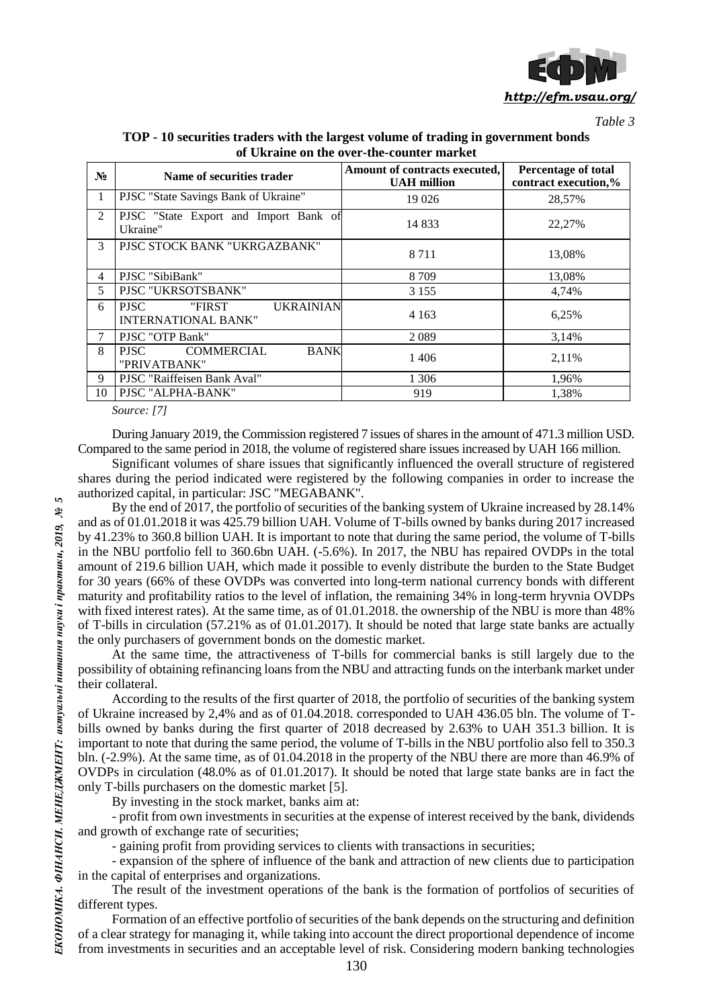

*Table 3*

| ur o'ni ame yn uit o ycr-uit-toumtri mariwr |                                                                         |                                                     |                                                    |  |  |  |
|---------------------------------------------|-------------------------------------------------------------------------|-----------------------------------------------------|----------------------------------------------------|--|--|--|
| $N_2$                                       | Name of securities trader                                               | Amount of contracts executed,<br><b>UAH</b> million | <b>Percentage of total</b><br>contract execution,% |  |  |  |
| 1                                           | PJSC "State Savings Bank of Ukraine"                                    | 19 0 26                                             | 28,57%                                             |  |  |  |
| 2                                           | PJSC "State Export and Import Bank of<br>Ukraine"                       | 14 8 33                                             | 22,27%                                             |  |  |  |
| 3                                           | PISC STOCK BANK "UKRGAZBANK"                                            | 8 7 1 1                                             | 13,08%                                             |  |  |  |
| 4                                           | PJSC "SibiBank"                                                         | 8 7 0 9                                             | 13,08%                                             |  |  |  |
| 5                                           | PJSC "UKRSOTSBANK"                                                      | 3 1 5 5                                             | 4,74%                                              |  |  |  |
| 6                                           | <b>UKRAINIAN</b><br><b>PJSC</b><br>"FIRST<br><b>INTERNATIONAL BANK"</b> | 4 1 6 3                                             | 6,25%                                              |  |  |  |
| 7                                           | PJSC "OTP Bank"                                                         | 2089                                                | 3,14%                                              |  |  |  |
| 8                                           | <b>COMMERCIAL</b><br><b>BANK</b><br><b>PJSC</b><br>"PRIVATBANK"         | 1406                                                | 2,11%                                              |  |  |  |
| 9                                           | PJSC "Raiffeisen Bank Aval"                                             | 1 3 0 6                                             | 1,96%                                              |  |  |  |
| 10                                          | PJSC "ALPHA-BANK"                                                       | 919                                                 | 1,38%                                              |  |  |  |

**TOP - 10 securities traders with the largest volume of trading in government bonds of Ukraine on the over-the-counter market**

*Source: [7]*

During January 2019, the Commission registered 7 issues of shares in the amount of 471.3 million USD. Compared to the same period in 2018, the volume of registered share issues increased by UAH 166 million.

Significant volumes of share issues that significantly influenced the overall structure of registered shares during the period indicated were registered by the following companies in order to increase the authorized capital, in particular: JSC "MEGABANK".

By the end of 2017, the portfolio of securities of the banking system of Ukraine increased by 28.14% and as of 01.01.2018 it was 425.79 billion UAH. Volume of T-bills owned by banks during 2017 increased by 41.23% to 360.8 billion UAH. It is important to note that during the same period, the volume of T-bills in the NBU portfolio fell to 360.6bn UAH. (-5.6%). In 2017, the NBU has repaired OVDPs in the total amount of 219.6 billion UAH, which made it possible to evenly distribute the burden to the State Budget for 30 years (66% of these OVDPs was converted into long-term national currency bonds with different maturity and profitability ratios to the level of inflation, the remaining 34% in long-term hryvnia OVDPs with fixed interest rates). At the same time, as of 01.01.2018, the ownership of the NBU is more than 48% of T-bills in circulation (57.21% as of 01.01.2017). It should be noted that large state banks are actually the only purchasers of government bonds on the domestic market.

At the same time, the attractiveness of T-bills for commercial banks is still largely due to the possibility of obtaining refinancing loans from the NBU and attracting funds on the interbank market under their collateral.

According to the results of the first quarter of 2018, the portfolio of securities of the banking system of Ukraine increased by 2,4% and as of 01.04.2018. corresponded to UAH 436.05 bln. The volume of Tbills owned by banks during the first quarter of 2018 decreased by 2.63% to UAH 351.3 billion. It is important to note that during the same period, the volume of T-bills in the NBU portfolio also fell to 350.3 bln. (-2.9%). At the same time, as of 01.04.2018 in the property of the NBU there are more than 46.9% of OVDPs in circulation (48.0% as of 01.01.2017). It should be noted that large state banks are in fact the only T-bills purchasers on the domestic market [5].

By investing in the stock market, banks aim at:

- profit from own investments in securities at the expense of interest received by the bank, dividends and growth of exchange rate of securities;

- gaining profit from providing services to clients with transactions in securities;

- expansion of the sphere of influence of the bank and attraction of new clients due to participation in the capital of enterprises and organizations.

The result of the investment operations of the bank is the formation of portfolios of securities of different types.

Formation of an effective portfolio of securities of the bank depends on the structuring and definition of a clear strategy for managing it, while taking into account the direct proportional dependence of income from investments in securities and an acceptable level of risk. Considering modern banking technologies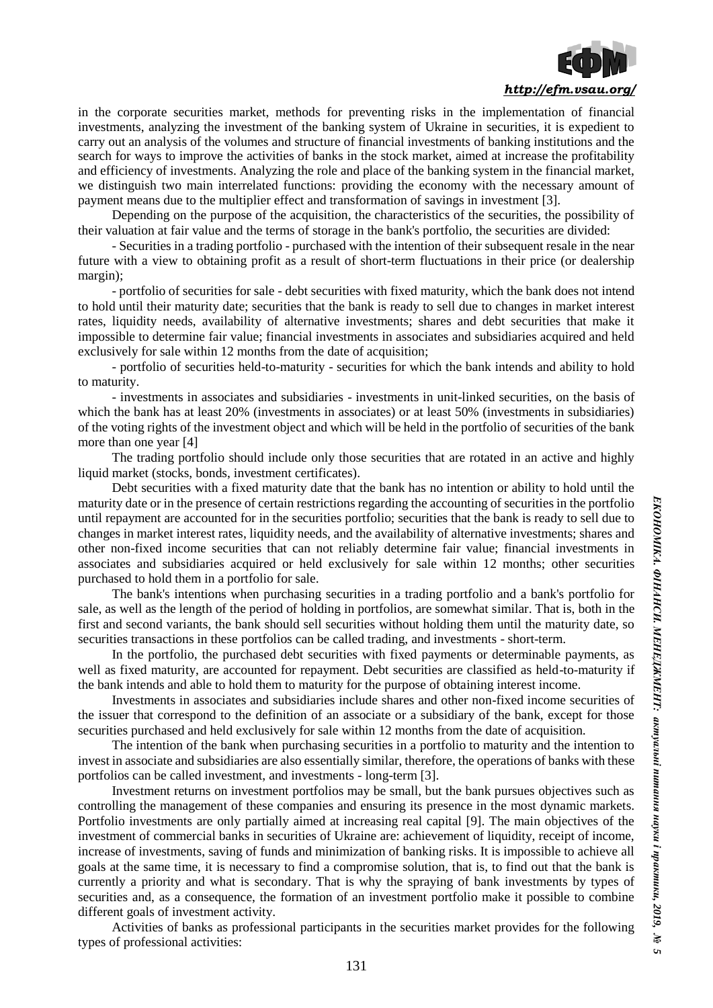

in the corporate securities market, methods for preventing risks in the implementation of financial investments, analyzing the investment of the banking system of Ukraine in securities, it is expedient to carry out an analysis of the volumes and structure of financial investments of banking institutions and the search for ways to improve the activities of banks in the stock market, aimed at increase the profitability and efficiency of investments. Analyzing the role and place of the banking system in the financial market, we distinguish two main interrelated functions: providing the economy with the necessary amount of payment means due to the multiplier effect and transformation of savings in investment [3].

Depending on the purpose of the acquisition, the characteristics of the securities, the possibility of their valuation at fair value and the terms of storage in the bank's portfolio, the securities are divided:

- Securities in a trading portfolio - purchased with the intention of their subsequent resale in the near future with a view to obtaining profit as a result of short-term fluctuations in their price (or dealership margin);

- portfolio of securities for sale - debt securities with fixed maturity, which the bank does not intend to hold until their maturity date; securities that the bank is ready to sell due to changes in market interest rates, liquidity needs, availability of alternative investments; shares and debt securities that make it impossible to determine fair value; financial investments in associates and subsidiaries acquired and held exclusively for sale within 12 months from the date of acquisition;

- portfolio of securities held-to-maturity - securities for which the bank intends and ability to hold to maturity.

- investments in associates and subsidiaries - investments in unit-linked securities, on the basis of which the bank has at least 20% (investments in associates) or at least 50% (investments in subsidiaries) of the voting rights of the investment object and which will be held in the portfolio of securities of the bank more than one year [4]

The trading portfolio should include only those securities that are rotated in an active and highly liquid market (stocks, bonds, investment certificates).

Debt securities with a fixed maturity date that the bank has no intention or ability to hold until the maturity date or in the presence of certain restrictions regarding the accounting of securities in the portfolio until repayment are accounted for in the securities portfolio; securities that the bank is ready to sell due to changes in market interest rates, liquidity needs, and the availability of alternative investments; shares and other non-fixed income securities that can not reliably determine fair value; financial investments in associates and subsidiaries acquired or held exclusively for sale within 12 months; other securities purchased to hold them in a portfolio for sale.

The bank's intentions when purchasing securities in a trading portfolio and a bank's portfolio for sale, as well as the length of the period of holding in portfolios, are somewhat similar. That is, both in the first and second variants, the bank should sell securities without holding them until the maturity date, so securities transactions in these portfolios can be called trading, and investments - short-term.

In the portfolio, the purchased debt securities with fixed payments or determinable payments, as well as fixed maturity, are accounted for repayment. Debt securities are classified as held-to-maturity if the bank intends and able to hold them to maturity for the purpose of obtaining interest income.

Investments in associates and subsidiaries include shares and other non-fixed income securities of the issuer that correspond to the definition of an associate or a subsidiary of the bank, except for those securities purchased and held exclusively for sale within 12 months from the date of acquisition.

The intention of the bank when purchasing securities in a portfolio to maturity and the intention to invest in associate and subsidiaries are also essentially similar, therefore, the operations of banks with these portfolios can be called investment, and investments - long-term [3].

Investment returns on investment portfolios may be small, but the bank pursues objectives such as controlling the management of these companies and ensuring its presence in the most dynamic markets. Portfolio investments are only partially aimed at increasing real capital [9]. The main objectives of the investment of commercial banks in securities of Ukraine are: achievement of liquidity, receipt of income, increase of investments, saving of funds and minimization of banking risks. It is impossible to achieve all goals at the same time, it is necessary to find a compromise solution, that is, to find out that the bank is currently a priority and what is secondary. That is why the spraying of bank investments by types of securities and, as a consequence, the formation of an investment portfolio make it possible to combine different goals of investment activity.

Activities of banks as professional participants in the securities market provides for the following types of professional activities: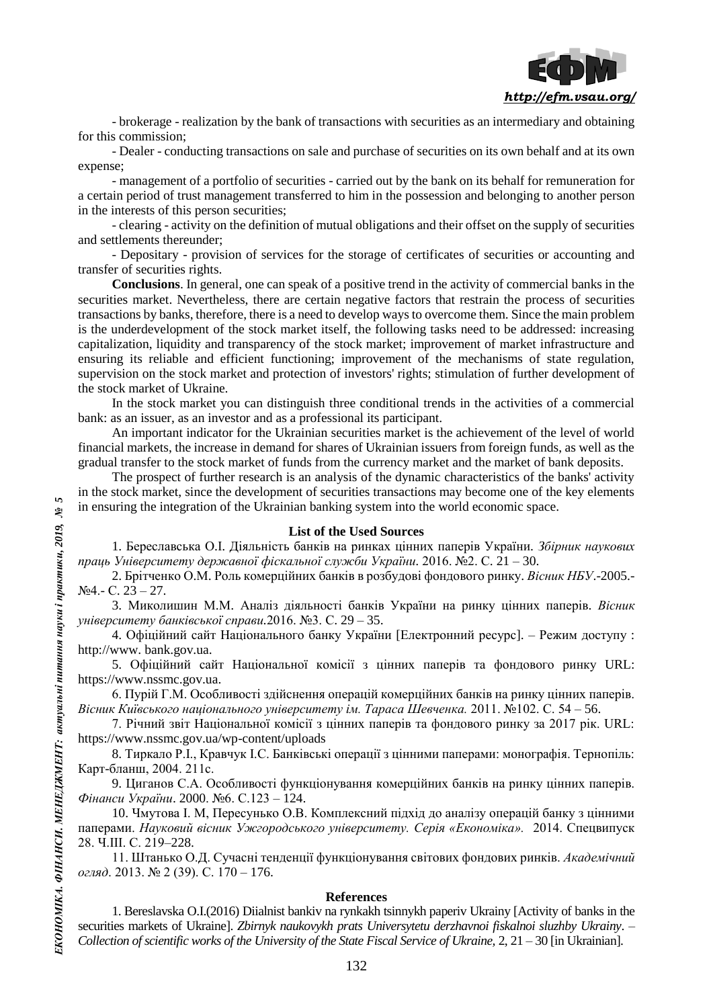

- brokerage - realization by the bank of transactions with securities as an intermediary and obtaining for this commission;

- Dealer - conducting transactions on sale and purchase of securities on its own behalf and at its own expense;

- management of a portfolio of securities - carried out by the bank on its behalf for remuneration for a certain period of trust management transferred to him in the possession and belonging to another person in the interests of this person securities;

- clearing - activity on the definition of mutual obligations and their offset on the supply of securities and settlements thereunder;

- Depositary - provision of services for the storage of certificates of securities or accounting and transfer of securities rights.

**Conclusions**. In general, one can speak of a positive trend in the activity of commercial banks in the securities market. Nevertheless, there are certain negative factors that restrain the process of securities transactions by banks, therefore, there is a need to develop ways to overcome them. Since the main problem is the underdevelopment of the stock market itself, the following tasks need to be addressed: increasing capitalization, liquidity and transparency of the stock market; improvement of market infrastructure and ensuring its reliable and efficient functioning; improvement of the mechanisms of state regulation, supervision on the stock market and protection of investors' rights; stimulation of further development of the stock market of Ukraine.

In the stock market you can distinguish three conditional trends in the activities of a commercial bank: as an issuer, as an investor and as a professional its participant.

An important indicator for the Ukrainian securities market is the achievement of the level of world financial markets, the increase in demand for shares of Ukrainian issuers from foreign funds, as well as the gradual transfer to the stock market of funds from the currency market and the market of bank deposits.

The prospect of further research is an analysis of the dynamic characteristics of the banks' activity in the stock market, since the development of securities transactions may become one of the key elements in ensuring the integration of the Ukrainian banking system into the world economic space.

#### **List of the Used Sources**

1. Береславська О.І. Діяльність банків на ринках цінних паперів України. *Збірник наукових праць Університету державної фіскальної служби України.* 2016. №2. С. 21 – 30.

2. Брітченко О.М. Роль комерційних банків в розбудові фондового ринку. *Вісник НБУ*.-2005.-  $N<sub>2</sub>4 - C. 23 - 27.$ 

3. Миколишин М.М. Аналіз діяльності банків України на ринку цінних паперів. *Вісник університету банківської справи.*2016. №3. С. 29 – 35.

4. Офіційний сайт Національного банку України [Електронний ресурс]. – Режим доступу : http://www. bank.gov.ua.

5. Офіційний сайт Національної комісії з цінних паперів та фондового ринку URL: https://www.nssmc.gov.ua.

6. Пурій Г.М. Особливості здійснення операцій комерційних банків на ринку цінних паперів. *Вісник Київського національного університету ім. Тараса Шевченка.* 2011. №102. С. 54 – 56.

7. Річний звіт Національної комісії з цінних паперів та фондового ринку за 2017 рік. URL: https://www.nssmc.gov.ua/wp-content/uploads

8. Тиркало Р.І., Кравчук І.С. Банківські операції з цінними паперами: монографія. Тернопіль: Карт-бланш, 2004. 211с.

9. Циганов С.А. Особливості функціонування комерційних банків на ринку цінних паперів. *Фінанси України*. 2000. №6. С.123 – 124.

10. Чмутова І. М, Пересунько О.В. Комплексний підхід до аналізу операцій банку з цінними паперами. *Науковий вісник Ужгородського університету. Серія «Економіка».* 2014. Спецвипуск 28. Ч.ІІІ. С. 219–228.

11. Штанько О.Д. Сучасні тенденції функціонування світових фондових ринків. *Академічний огляд*. 2013. № 2 (39). С. 170 – 176.

# **References**

1. Bereslavska O.I.(2016) Diialnist bankiv na rynkakh tsinnykh paperiv Ukrainy [Activity of banks in the securities markets of Ukraine]. *Zbirnyk naukovykh prats Universytetu derzhavnoi fiskalnoi sluzhby Ukrainy*. – *Collection of scientific works of the University of the State Fiscal Service of Ukraine,* 2, 21 – 30 [in Ukrainian].

 $\mathbf{5}$